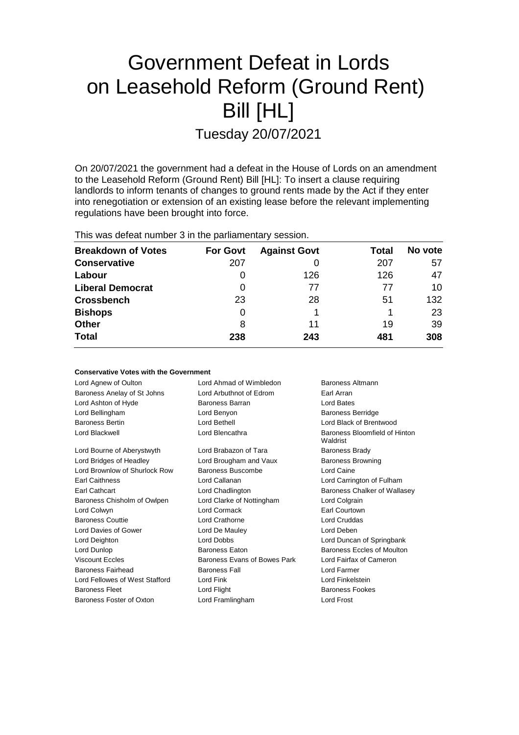# Government Defeat in Lords on Leasehold Reform (Ground Rent) Bill [HL]

Tuesday 20/07/2021

On 20/07/2021 the government had a defeat in the House of Lords on an amendment to the Leasehold Reform (Ground Rent) Bill [HL]: To insert a clause requiring landlords to inform tenants of changes to ground rents made by the Act if they enter into renegotiation or extension of an existing lease before the relevant implementing regulations have been brought into force.

This was defeat number 3 in the parliamentary session.

| <b>Breakdown of Votes</b> | <b>For Govt</b> | <b>Against Govt</b> | Total | No vote |
|---------------------------|-----------------|---------------------|-------|---------|
| <b>Conservative</b>       | 207             |                     | 207   | 57      |
| Labour                    | 0               | 126                 | 126   | 47      |
| <b>Liberal Democrat</b>   | 0               | 77                  | 77    | 10      |
| <b>Crossbench</b>         | 23              | 28                  | 51    | 132     |
| <b>Bishops</b>            | 0               |                     |       | 23      |
| <b>Other</b>              | 8               | 11                  | 19    | 39      |
| <b>Total</b>              | 238             | 243                 | 481   | 308     |

|  |  |  | <b>Conservative Votes with the Government</b> |
|--|--|--|-----------------------------------------------|
|--|--|--|-----------------------------------------------|

| Lord Agnew of Oulton           | Lord Ahmad of Wimbledon               | Baroness Altmann                          |  |
|--------------------------------|---------------------------------------|-------------------------------------------|--|
| Baroness Anelay of St Johns    | Lord Arbuthnot of Edrom               | Earl Arran                                |  |
| Lord Ashton of Hyde            | Baroness Barran                       | Lord Bates                                |  |
| Lord Bellingham                | Lord Benyon                           | <b>Baroness Berridge</b>                  |  |
| <b>Baroness Bertin</b>         | Lord Bethell                          | Lord Black of Brentwood                   |  |
| Lord Blackwell                 | Lord Blencathra                       | Baroness Bloomfield of Hinton<br>Waldrist |  |
| Lord Bourne of Aberystwyth     | Lord Brabazon of Tara                 | <b>Baroness Brady</b>                     |  |
| Lord Bridges of Headley        | Lord Brougham and Vaux                | <b>Baroness Browning</b>                  |  |
| Lord Brownlow of Shurlock Row  | Baroness Buscombe                     | Lord Caine                                |  |
| <b>Earl Caithness</b>          | Lord Callanan                         | Lord Carrington of Fulham                 |  |
| <b>Earl Cathcart</b>           | Lord Chadlington                      | Baroness Chalker of Wallasey              |  |
| Baroness Chisholm of Owlpen    | Lord Clarke of Nottingham             | Lord Colgrain                             |  |
| Lord Colwyn                    | Lord Cormack                          | Earl Courtown                             |  |
| <b>Baroness Couttie</b>        | Lord Crathorne                        | Lord Cruddas                              |  |
| Lord Davies of Gower           | Lord De Mauley                        | Lord Deben                                |  |
| Lord Deighton                  | Lord Dobbs                            | Lord Duncan of Springbank                 |  |
| Lord Dunlop                    | <b>Baroness Eaton</b>                 | Baroness Eccles of Moulton                |  |
| <b>Viscount Eccles</b>         | Baroness Evans of Bowes Park          | Lord Fairfax of Cameron                   |  |
| Baroness Fairhead              | <b>Baroness Fall</b>                  | Lord Farmer                               |  |
| Lord Fellowes of West Stafford | Lord Fink                             | Lord Finkelstein                          |  |
| <b>Baroness Fleet</b>          | Lord Flight<br><b>Baroness Fookes</b> |                                           |  |
| Baroness Foster of Oxton       | Lord Framlingham                      | Lord Frost                                |  |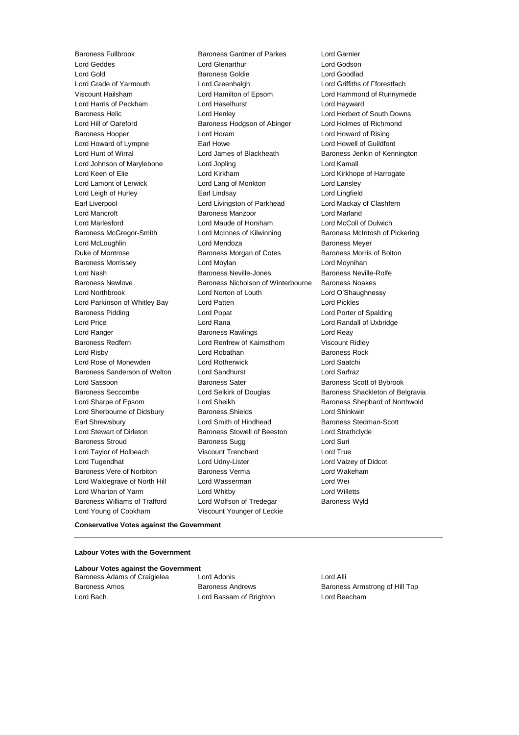Baroness Fullbrook Baroness Gardner of Parkes Lord Garnier Lord Geddes Lord Glenarthur Lord Godson Lord Gold Baroness Goldie Lord Goodlad Lord Grade of Yarmouth Lord Greenhalgh Lord Griffiths of Fforestfach Viscount Hailsham Lord Hamilton of Epsom Lord Hammond of Runnymede Lord Harris of Peckham Lord Haselhurst Lord Hayward Baroness Helic Lord Henley Lord Herbert of South Downs Lord Hill of Oareford Baroness Hodgson of Abinger Lord Holmes of Richmond Baroness Hooper Lord Horam Lord Howard of Rising Lord Howard of Lympne **Earl Howe** Earl Howe Lord Howell of Guildford Lord Hunt of Wirral Lord James of Blackheath Baroness Jenkin of Kennington Lord Johnson of Marylebone Lord Jopling Lord Kamall Lord Keen of Elie **Lord Kirkham** Lord Kirkham Lord Kirkhope of Harrogate Lord Lamont of Lerwick Lord Lang of Monkton Lord Lansley Lord Leigh of Hurley Earl Lindsay Lord Lingfield Earl Liverpool **Lord Livingston of Parkhead** Lord Mackay of Clashfern Lord Mancroft Baroness Manzoor Lord Marland Lord Marlesford Lord Maude of Horsham Lord McColl of Dulwich Baroness McGregor-Smith Lord McInnes of Kilwinning Baroness McIntosh of Pickering Lord McLoughlin Lord Mendoza Baroness Meyer Duke of Montrose Baroness Morgan of Cotes Baroness Morris of Bolton Baroness Morrissey **Lord Moylan** Lord Moylan Lord Moynihan Lord Nash Baroness Neville-Jones Baroness Neville-Rolfe Baroness Newlove Baroness Nicholson of Winterbourne Baroness Noakes Lord Northbrook Lord Norton of Louth Lord O'Shaughnessy Lord Parkinson of Whitley Bay Lord Patten Lord Pickles Baroness Pidding **Lord Popat** Lord Popat Lord Porter of Spalding Lord Price Lord Rana Lord Randall of Uxbridge Lord Ranger **Baroness Rawlings** Lord Reay Readers Baroness Redfern Lord Renfrew of Kaimsthorn Viscount Ridley Lord Risby **Lord Robathan** Baroness Rock Lord Rose of Monewden Lord Rotherwick Lord Saatchi Baroness Sanderson of Welton Lord Sandhurst Lord Sarfraz Lord Sassoon **Baroness Sater** Baroness Scott of Bybrook Baroness Seccombe **Lord Selkirk of Douglas** Baroness Shackleton of Belgravia Lord Sharpe of Epsom Cord Sheikh Baroness Shephard of Northwold Lord Sherbourne of Didsbury Baroness Shields Lord Shinkwin Earl Shrewsbury **Lord Smith of Hindhead** Baroness Stedman-Scott Lord Stewart of Dirleton **Baroness Stowell of Beeston** Lord Strathclyde Baroness Stroud **Baroness Sugg Community** Baroness Sugg Lord Suri Lord Taylor of Holbeach Viscount Trenchard Lord True Lord Tugendhat Lord Udny-Lister Lord Vaizey of Didcot Baroness Vere of Norbiton **Baroness Verma** Lord Wakeham Lord Waldegrave of North Hill Lord Wasserman Lord Wei Lord Wharton of Yarm Lord Whitby Lord Willetts Baroness Williams of Trafford Lord Wolfson of Tredegar Baroness Wyld Lord Young of Cookham Viscount Younger of Leckie

## **Conservative Votes against the Government**

### **Labour Votes with the Government**

# **Labour Votes against the Government**

Baroness Adams of Craigielea Lord Adonis Lord Access Lord Alli Lord Bach Lord Bassam of Brighton Lord Beecham

Baroness Amos **Baroness Andrews** Baroness Andrews **Baroness Armstrong of Hill Top**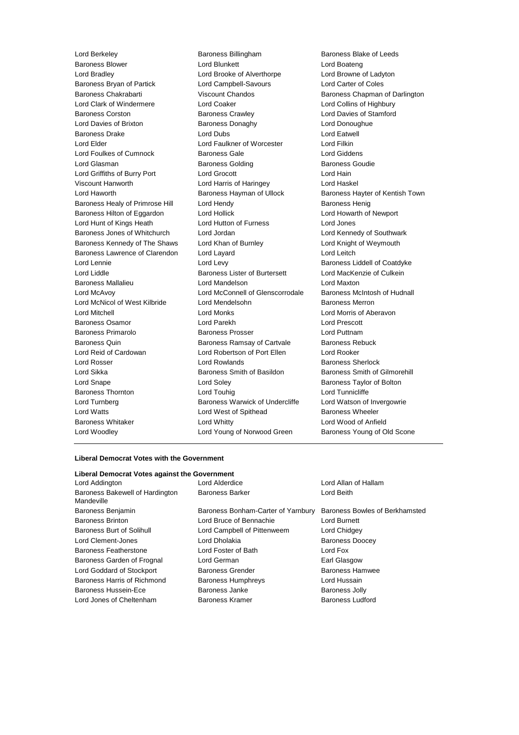Baroness Blower Lord Blunkett Lord Boateng Lord Bradley Lord Brooke of Alverthorpe Lord Browne of Ladyton Baroness Bryan of Partick Lord Campbell-Savours Lord Carter of Coles Baroness Chakrabarti Viscount Chandos Baroness Chapman of Darlington Lord Clark of Windermere Lord Coaker Lord Collins of Highbury Baroness Corston Baroness Crawley Lord Davies of Stamford Lord Davies of Brixton **Baroness Donaghy Lord Donoughue** Lord Donoughue Baroness Drake Lord Dubs Lord Eatwell Lord Elder Lord Faulkner of Worcester Lord Filkin Lord Foulkes of Cumnock Baroness Gale Corresponding Lord Giddens Lord Glasman **Baroness Golding** Baroness Goudie Lord Griffiths of Burry Port Lord Grocott Lord Hain Viscount Hanworth Lord Harris of Haringey Lord Haskel Lord Haworth **Baroness Hayman of Ullock** Baroness Hayter of Kentish Town Baroness Healy of Primrose Hill Lord Hendy **Baroness Henig** Baroness Henig Baroness Hilton of Eggardon Lord Hollick Lord Howarth of Newport Lord Hunt of Kings Heath Lord Hutton of Furness Lord Jones Baroness Jones of Whitchurch Lord Jordan Lord Kennedy of Southwark Baroness Kennedy of The Shaws Lord Khan of Burnley Lord Knight of Weymouth Baroness Lawrence of Clarendon Lord Layard Lord Leitch Lord Lennie **Lord Levy Coats** Baroness Liddell of Coatdyke Lord Liddle **Baroness Lister of Burtersett** Lord MacKenzie of Culkein Baroness Mallalieu Lord Mandelson Lord Maxton Lord McAvoy Lord McConnell of Glenscorrodale Baroness McIntosh of Hudnall Lord McNicol of West Kilbride Lord Mendelsohn **Baroness Merron** Lord Mitchell Lord Monks Lord Morris of Aberavon Baroness Osamor Lord Parekh Lord Prescott Baroness Primarolo Baroness Prosser Lord Puttnam Baroness Quin **Baroness Ramsay of Cartvale** Baroness Rebuck Lord Reid of Cardowan Lord Robertson of Port Ellen Lord Rooker Lord Rosser Lord Rowlands Baroness Sherlock Lord Sikka **Baroness Smith of Basildon** Baroness Smith of Gilmorehill Lord Snape Lord Soley Baroness Taylor of Bolton Baroness Thornton **Lord Touhig** Lord Touhig Lord Lord Tunnicliffe Lord Turnberg **Baroness Warwick of Undercliffe** Lord Watson of Invergowrie Lord Watts **Lord West of Spithead** Baroness Wheeler Baroness Whitaker **Lord Whitty Lord Whitty Lord Wood of Anfield** Lord Woodley Lord Young of Norwood Green Baroness Young of Old Scone

Lord Berkeley Baroness Billingham Baroness Blake of Leeds

#### **Liberal Democrat Votes with the Government**

| Lord Alderdice                     | Lord Allan of Hallam                          |
|------------------------------------|-----------------------------------------------|
| <b>Baroness Barker</b>             | Lord Beith                                    |
| Baroness Bonham-Carter of Yarnbury | Baroness Bowles of Berkhamsted                |
| Lord Bruce of Bennachie            | Lord Burnett                                  |
| Lord Campbell of Pittenweem        | Lord Chidgey                                  |
| Lord Dholakia                      | <b>Baroness Doocey</b>                        |
| Lord Foster of Bath                | Lord Fox                                      |
| Lord German                        | Earl Glasgow                                  |
| <b>Baroness Grender</b>            | Baroness Hamwee                               |
| <b>Baroness Humphreys</b>          | Lord Hussain                                  |
| Baroness Janke                     | <b>Baroness Jolly</b>                         |
| Baroness Kramer                    | <b>Baroness Ludford</b>                       |
|                                    | Liberal Democrat Votes against the Government |